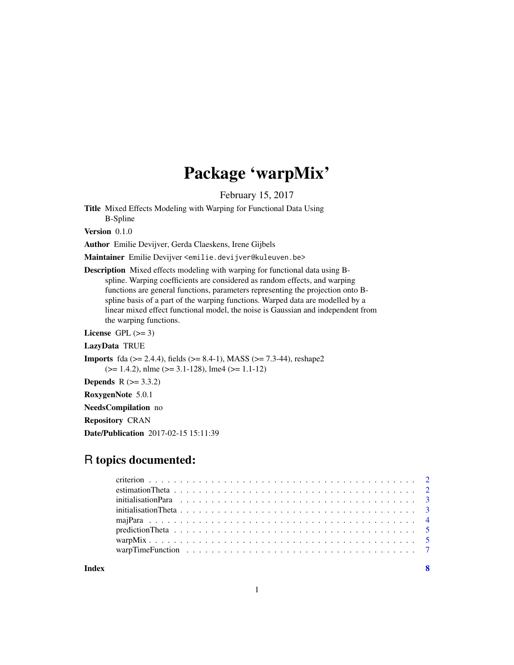# Package 'warpMix'

February 15, 2017

Title Mixed Effects Modeling with Warping for Functional Data Using B-Spline

Version 0.1.0

Author Emilie Devijver, Gerda Claeskens, Irene Gijbels

Maintainer Emilie Devijver <emilie.devijver@kuleuven.be>

Description Mixed effects modeling with warping for functional data using Bspline. Warping coefficients are considered as random effects, and warping functions are general functions, parameters representing the projection onto Bspline basis of a part of the warping functions. Warped data are modelled by a linear mixed effect functional model, the noise is Gaussian and independent from the warping functions.

License GPL  $(>= 3)$ 

LazyData TRUE

**Imports** fda ( $>= 2.4.4$ ), fields ( $>= 8.4-1$ ), MASS ( $>= 7.3-44$ ), reshape2 (>= 1.4.2), nlme (>= 3.1-128), lme4 (>= 1.1-12)

**Depends**  $R (= 3.3.2)$ 

RoxygenNote 5.0.1

NeedsCompilation no

Repository CRAN

Date/Publication 2017-02-15 15:11:39

## R topics documented:

| initialisation Theta $\ldots \ldots \ldots \ldots \ldots \ldots \ldots \ldots \ldots \ldots \ldots \ldots \ldots$ |  |
|-------------------------------------------------------------------------------------------------------------------|--|
|                                                                                                                   |  |
|                                                                                                                   |  |
|                                                                                                                   |  |
|                                                                                                                   |  |
|                                                                                                                   |  |

**Index** [8](#page-7-0) **8**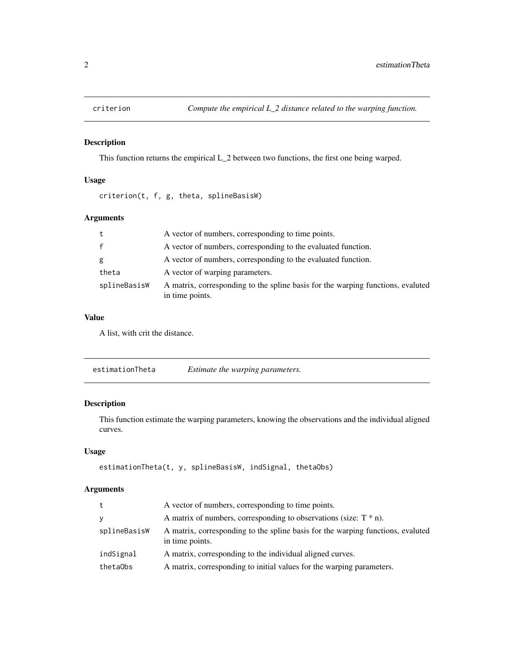<span id="page-1-0"></span>

#### Description

This function returns the empirical L\_2 between two functions, the first one being warped.

#### Usage

criterion(t, f, g, theta, splineBasisW)

#### Arguments

| t            | A vector of numbers, corresponding to time points.                                                 |
|--------------|----------------------------------------------------------------------------------------------------|
| $\mathbf f$  | A vector of numbers, corresponding to the evaluated function.                                      |
| g            | A vector of numbers, corresponding to the evaluated function.                                      |
| theta        | A vector of warping parameters.                                                                    |
| splineBasisW | A matrix, corresponding to the spline basis for the warping functions, evaluted<br>in time points. |

#### Value

A list, with crit the distance.

| estimationTheta | Estimate the warping parameters. |
|-----------------|----------------------------------|
|                 |                                  |

#### Description

This function estimate the warping parameters, knowing the observations and the individual aligned curves.

#### Usage

```
estimationTheta(t, y, splineBasisW, indSignal, thetaObs)
```
#### Arguments

| t            | A vector of numbers, corresponding to time points.                                                 |
|--------------|----------------------------------------------------------------------------------------------------|
| У            | A matrix of numbers, corresponding to observations (size: $T^*$ n).                                |
| splineBasisW | A matrix, corresponding to the spline basis for the warping functions, evaluted<br>in time points. |
| indSignal    | A matrix, corresponding to the individual aligned curves.                                          |
| thetaObs     | A matrix, corresponding to initial values for the warping parameters.                              |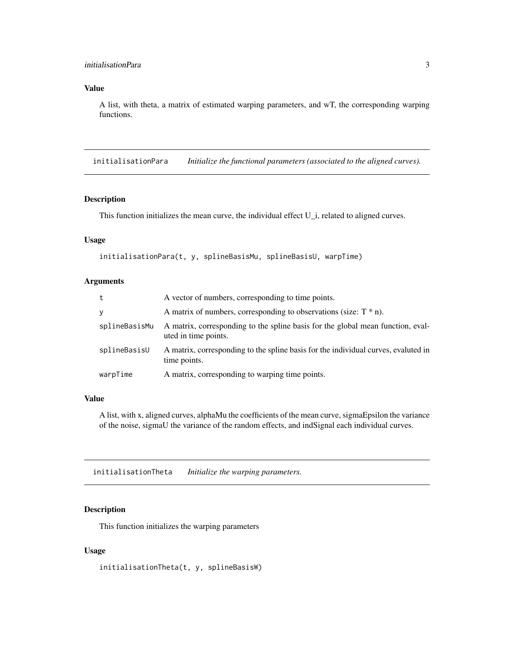#### <span id="page-2-0"></span>initialisationPara 3

#### Value

A list, with theta, a matrix of estimated warping parameters, and wT, the corresponding warping functions.

initialisationPara *Initialize the functional parameters (associated to the aligned curves).*

#### Description

This function initializes the mean curve, the individual effect U<sub>\_i</sub>, related to aligned curves.

#### Usage

```
initialisationPara(t, y, splineBasisMu, splineBasisU, warpTime)
```
#### Arguments

| t             | A vector of numbers, corresponding to time points.                                                      |
|---------------|---------------------------------------------------------------------------------------------------------|
| y             | A matrix of numbers, corresponding to observations (size: $T^*$ n).                                     |
| splineBasisMu | A matrix, corresponding to the spline basis for the global mean function, eval-<br>uted in time points. |
| splineBasisU  | A matrix, corresponding to the spline basis for the individual curves, evaluted in<br>time points.      |
| warpTime      | A matrix, corresponding to warping time points.                                                         |

#### Value

A list, with x, aligned curves, alphaMu the coefficients of the mean curve, sigmaEpsilon the variance of the noise, sigmaU the variance of the random effects, and indSignal each individual curves.

initialisationTheta *Initialize the warping parameters.*

#### Description

This function initializes the warping parameters

#### Usage

initialisationTheta(t, y, splineBasisW)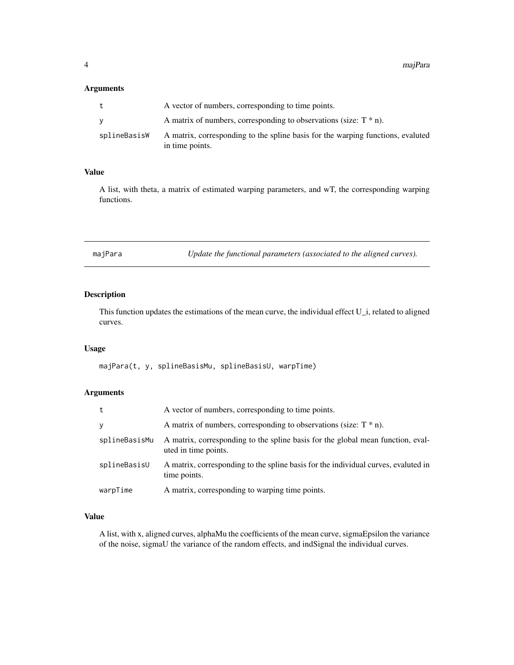#### <span id="page-3-0"></span>Arguments

|              | A vector of numbers, corresponding to time points.                                                 |
|--------------|----------------------------------------------------------------------------------------------------|
|              | A matrix of numbers, corresponding to observations (size: $T^*$ n).                                |
| splineBasisW | A matrix, corresponding to the spline basis for the warping functions, evaluted<br>in time points. |

#### Value

A list, with theta, a matrix of estimated warping parameters, and wT, the corresponding warping functions.

majPara *Update the functional parameters (associated to the aligned curves).*

#### Description

This function updates the estimations of the mean curve, the individual effect U\_i, related to aligned curves.

#### Usage

majPara(t, y, splineBasisMu, splineBasisU, warpTime)

#### Arguments

| t             | A vector of numbers, corresponding to time points.                                                      |
|---------------|---------------------------------------------------------------------------------------------------------|
| y             | A matrix of numbers, corresponding to observations (size: $T^*$ n).                                     |
| splineBasisMu | A matrix, corresponding to the spline basis for the global mean function, eval-<br>uted in time points. |
| splineBasisU  | A matrix, corresponding to the spline basis for the individual curves, evaluted in<br>time points.      |
| warpTime      | A matrix, corresponding to warping time points.                                                         |

#### Value

A list, with x, aligned curves, alphaMu the coefficients of the mean curve, sigmaEpsilon the variance of the noise, sigmaU the variance of the random effects, and indSignal the individual curves.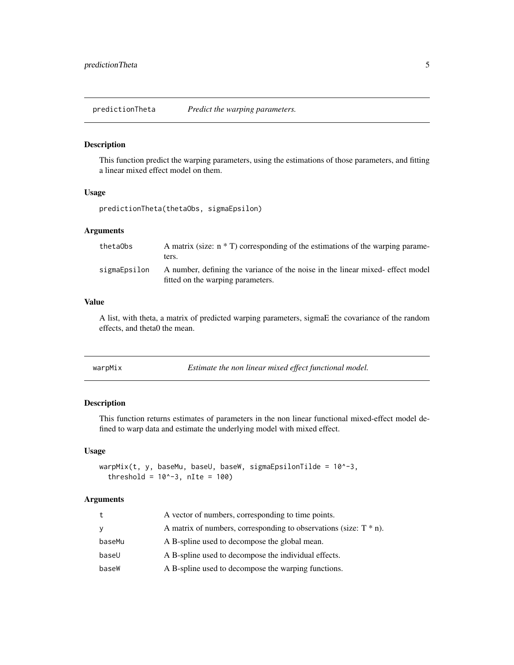<span id="page-4-0"></span>predictionTheta *Predict the warping parameters.*

#### Description

This function predict the warping parameters, using the estimations of those parameters, and fitting a linear mixed effect model on them.

#### Usage

predictionTheta(thetaObs, sigmaEpsilon)

#### Arguments

| thetaObs     | A matrix (size: $n * T$ ) corresponding of the estimations of the warping parame-<br>ters.                          |
|--------------|---------------------------------------------------------------------------------------------------------------------|
| sigmaEpsilon | A number, defining the variance of the noise in the linear mixed- effect model<br>fitted on the warping parameters. |

#### Value

A list, with theta, a matrix of predicted warping parameters, sigmaE the covariance of the random effects, and theta0 the mean.

| Estimate the non linear mixed effect functional model.<br>warpMix |  |
|-------------------------------------------------------------------|--|
|-------------------------------------------------------------------|--|

#### Description

This function returns estimates of parameters in the non linear functional mixed-effect model defined to warp data and estimate the underlying model with mixed effect.

#### Usage

```
warpMix(t, y, baseMu, baseU, baseW, sigmaEpsilonTilde = 10^{\circ}-3,
  threshold = 10^{\circ} - 3, nIte = 100)
```
#### Arguments

| t      | A vector of numbers, corresponding to time points.                   |
|--------|----------------------------------------------------------------------|
| V      | A matrix of numbers, corresponding to observations (size: $T * n$ ). |
| baseMu | A B-spline used to decompose the global mean.                        |
| baseU  | A B-spline used to decompose the individual effects.                 |
| baseW  | A B-spline used to decompose the warping functions.                  |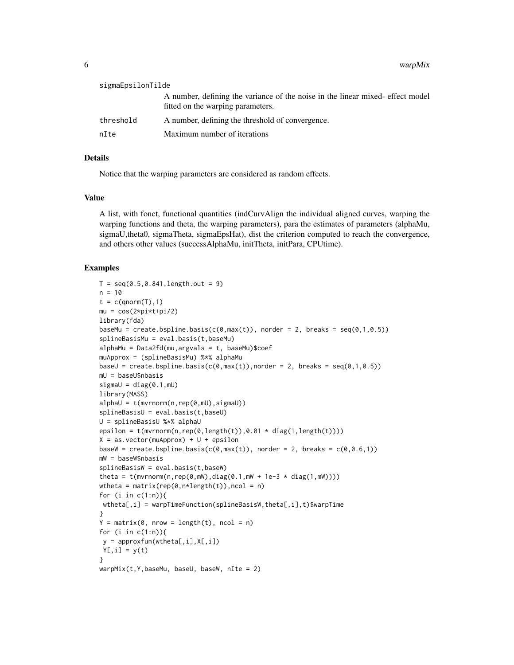6 warpMix

| sigmaEpsilonTilde |                                                                                                                     |
|-------------------|---------------------------------------------------------------------------------------------------------------------|
|                   | A number, defining the variance of the noise in the linear mixed- effect model<br>fitted on the warping parameters. |
| threshold         | A number, defining the threshold of convergence.                                                                    |
| nIte              | Maximum number of iterations                                                                                        |

#### Details

Notice that the warping parameters are considered as random effects.

#### Value

A list, with fonct, functional quantities (indCurvAlign the individual aligned curves, warping the warping functions and theta, the warping parameters), para the estimates of parameters (alphaMu, sigmaU,theta0, sigmaTheta, sigmaEpsHat), dist the criterion computed to reach the convergence, and others other values (successAlphaMu, initTheta, initPara, CPUtime).

#### Examples

```
T = \text{seq}(0.5, 0.841, \text{length.out} = 9)n = 10t = c(qnorm(T), 1)
mu = cos(2*pi*t+pi/2)library(fda)
baseMu = create.bspline.basis(c(\theta, \text{max}(t)), norder = 2, breaks = seq(\theta,1,\theta.5))
splineBasisMu = eval.basis(t,baseMu)
alphaMu = Data2fd(mu,argvals = t, baseMu)$coef
muApprox = (splineBasisMu) %*% alphaMu
baseU = create.bspline.basis(c(0,max(t)),norder = 2, breaks = seq(0,1,0.5))mU = baseU$nbasis
sigmaU = diag(0.1, mU)library(MASS)
alphaU = t(mvrnorm(n, rep(0, mU),sigmaU))splineBasisU = eval.basis(t,baseU)
U = splineBasisU %*% alphaU
epsilon = t(mvrnorm(n, rep(0, length(t)), 0.01 * diag(1, length(t))))X = as.vector(muApprox) + U + epsilonbaseW = create.bspline.basis(c(0,max(t)), norder = 2, breaks = c(0, 0.6, 1))
mW = baseW$nbasis
splineBasisW = eval.basis(t,baseW)
theta = t(mvrnorm(n, rep(0, mW), diag(0.1, mW + 1e-3 * diag(1, mW))))wtheta = matrix(rep(0,n*length(t)), ncol = n)
for (i in c(1:n)){
wtheta[,i] = warpTimeFunction(splineBasisW,theta[,i],t)$warpTime
}
Y = matrix(0, nrow = length(t), ncol = n)for (i in c(1:n)){
 y = approxfun(wtheta[,i],X[,i])
Y[, i] = y(t)}
warphix(t, Y, baseMu, baseU, baseW, nIte = 2)
```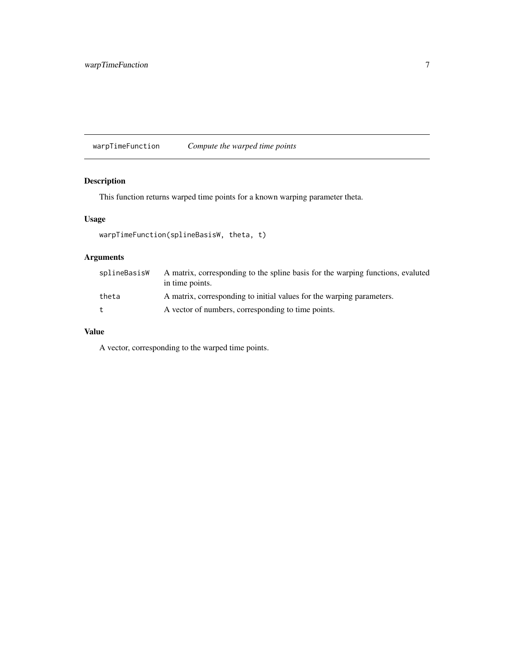<span id="page-6-0"></span>warpTimeFunction *Compute the warped time points*

### Description

This function returns warped time points for a known warping parameter theta.

#### Usage

```
warpTimeFunction(splineBasisW, theta, t)
```
#### Arguments

| splineBasisW | A matrix, corresponding to the spline basis for the warping functions, evaluted<br>in time points. |
|--------------|----------------------------------------------------------------------------------------------------|
| theta        | A matrix, corresponding to initial values for the warping parameters.                              |
| $^{\dagger}$ | A vector of numbers, corresponding to time points.                                                 |

#### Value

A vector, corresponding to the warped time points.